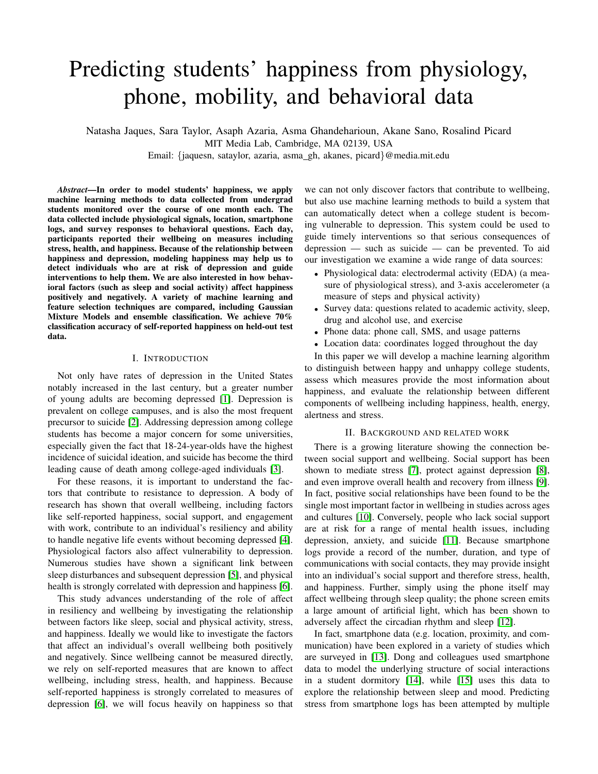# Predicting students' happiness from physiology, phone, mobility, and behavioral data

Natasha Jaques, Sara Taylor, Asaph Azaria, Asma Ghandeharioun, Akane Sano, Rosalind Picard MIT Media Lab, Cambridge, MA 02139, USA

Email: {jaquesn, sataylor, azaria, asma gh, akanes, picard}@media.mit.edu

*Abstract*—In order to model students' happiness, we apply machine learning methods to data collected from undergrad students monitored over the course of one month each. The data collected include physiological signals, location, smartphone logs, and survey responses to behavioral questions. Each day, participants reported their wellbeing on measures including stress, health, and happiness. Because of the relationship between happiness and depression, modeling happiness may help us to detect individuals who are at risk of depression and guide interventions to help them. We are also interested in how behavioral factors (such as sleep and social activity) affect happiness positively and negatively. A variety of machine learning and feature selection techniques are compared, including Gaussian Mixture Models and ensemble classification. We achieve 70% classification accuracy of self-reported happiness on held-out test data.

## I. INTRODUCTION

Not only have rates of depression in the United States notably increased in the last century, but a greater number of young adults are becoming depressed [\[1\]](#page-6-0). Depression is prevalent on college campuses, and is also the most frequent precursor to suicide [\[2\]](#page-6-1). Addressing depression among college students has become a major concern for some universities, especially given the fact that 18-24-year-olds have the highest incidence of suicidal ideation, and suicide has become the third leading cause of death among college-aged individuals [\[3\]](#page-6-2).

For these reasons, it is important to understand the factors that contribute to resistance to depression. A body of research has shown that overall wellbeing, including factors like self-reported happiness, social support, and engagement with work, contribute to an individual's resiliency and ability to handle negative life events without becoming depressed [\[4\]](#page-6-3). Physiological factors also affect vulnerability to depression. Numerous studies have shown a significant link between sleep disturbances and subsequent depression [\[5\]](#page-6-4), and physical health is strongly correlated with depression and happiness [\[6\]](#page-6-5).

This study advances understanding of the role of affect in resiliency and wellbeing by investigating the relationship between factors like sleep, social and physical activity, stress, and happiness. Ideally we would like to investigate the factors that affect an individual's overall wellbeing both positively and negatively. Since wellbeing cannot be measured directly, we rely on self-reported measures that are known to affect wellbeing, including stress, health, and happiness. Because self-reported happiness is strongly correlated to measures of depression [\[6\]](#page-6-5), we will focus heavily on happiness so that

we can not only discover factors that contribute to wellbeing, but also use machine learning methods to build a system that can automatically detect when a college student is becoming vulnerable to depression. This system could be used to guide timely interventions so that serious consequences of depression — such as suicide — can be prevented. To aid our investigation we examine a wide range of data sources:

- Physiological data: electrodermal activity (EDA) (a measure of physiological stress), and 3-axis accelerometer (a measure of steps and physical activity)
- Survey data: questions related to academic activity, sleep, drug and alcohol use, and exercise
- Phone data: phone call, SMS, and usage patterns
- Location data: coordinates logged throughout the day

In this paper we will develop a machine learning algorithm to distinguish between happy and unhappy college students, assess which measures provide the most information about happiness, and evaluate the relationship between different components of wellbeing including happiness, health, energy, alertness and stress.

#### II. BACKGROUND AND RELATED WORK

There is a growing literature showing the connection between social support and wellbeing. Social support has been shown to mediate stress [\[7\]](#page-6-6), protect against depression [\[8\]](#page-6-7), and even improve overall health and recovery from illness [\[9\]](#page-6-8). In fact, positive social relationships have been found to be the single most important factor in wellbeing in studies across ages and cultures [\[10\]](#page-6-9). Conversely, people who lack social support are at risk for a range of mental health issues, including depression, anxiety, and suicide [\[11\]](#page-6-10). Because smartphone logs provide a record of the number, duration, and type of communications with social contacts, they may provide insight into an individual's social support and therefore stress, health, and happiness. Further, simply using the phone itself may affect wellbeing through sleep quality; the phone screen emits a large amount of artificial light, which has been shown to adversely affect the circadian rhythm and sleep [\[12\]](#page-6-11).

In fact, smartphone data (e.g. location, proximity, and communication) have been explored in a variety of studies which are surveyed in [\[13\]](#page-6-12). Dong and colleagues used smartphone data to model the underlying structure of social interactions in a student dormitory [\[14\]](#page-6-13), while [\[15\]](#page-6-14) uses this data to explore the relationship between sleep and mood. Predicting stress from smartphone logs has been attempted by multiple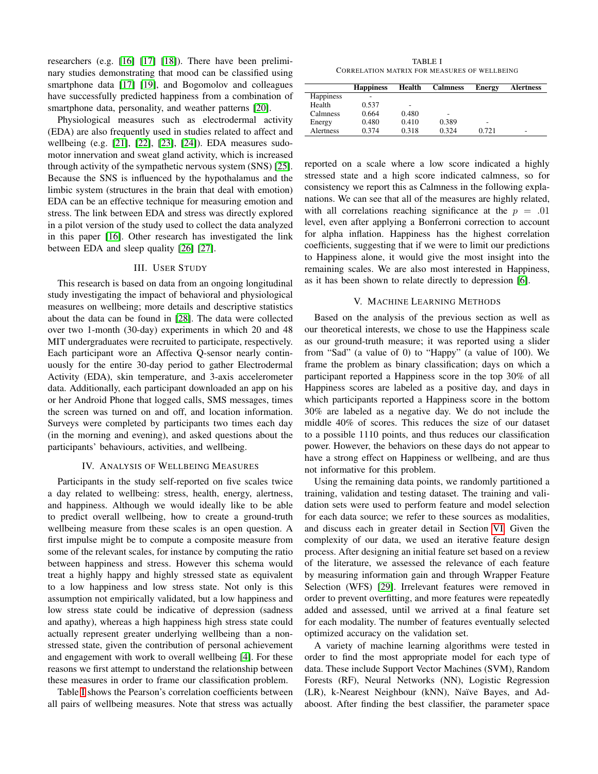researchers (e.g. [\[16\]](#page-6-15) [\[17\]](#page-6-16) [\[18\]](#page-6-17)). There have been preliminary studies demonstrating that mood can be classified using smartphone data [\[17\]](#page-6-16) [\[19\]](#page-6-18), and Bogomolov and colleagues have successfully predicted happiness from a combination of smartphone data, personality, and weather patterns [\[20\]](#page-6-19).

Physiological measures such as electrodermal activity (EDA) are also frequently used in studies related to affect and wellbeing (e.g. [\[21\]](#page-6-20), [\[22\]](#page-6-21), [\[23\]](#page-6-22), [\[24\]](#page-6-23)). EDA measures sudomotor innervation and sweat gland activity, which is increased through activity of the sympathetic nervous system (SNS) [\[25\]](#page-6-24). Because the SNS is influenced by the hypothalamus and the limbic system (structures in the brain that deal with emotion) EDA can be an effective technique for measuring emotion and stress. The link between EDA and stress was directly explored in a pilot version of the study used to collect the data analyzed in this paper [\[16\]](#page-6-15). Other research has investigated the link between EDA and sleep quality [\[26\]](#page-6-25) [\[27\]](#page-6-26).

## III. USER STUDY

This research is based on data from an ongoing longitudinal study investigating the impact of behavioral and physiological measures on wellbeing; more details and descriptive statistics about the data can be found in [\[28\]](#page-6-27). The data were collected over two 1-month (30-day) experiments in which 20 and 48 MIT undergraduates were recruited to participate, respectively. Each participant wore an Affectiva Q-sensor nearly continuously for the entire 30-day period to gather Electrodermal Activity (EDA), skin temperature, and 3-axis accelerometer data. Additionally, each participant downloaded an app on his or her Android Phone that logged calls, SMS messages, times the screen was turned on and off, and location information. Surveys were completed by participants two times each day (in the morning and evening), and asked questions about the participants' behaviours, activities, and wellbeing.

## IV. ANALYSIS OF WELLBEING MEASURES

Participants in the study self-reported on five scales twice a day related to wellbeing: stress, health, energy, alertness, and happiness. Although we would ideally like to be able to predict overall wellbeing, how to create a ground-truth wellbeing measure from these scales is an open question. A first impulse might be to compute a composite measure from some of the relevant scales, for instance by computing the ratio between happiness and stress. However this schema would treat a highly happy and highly stressed state as equivalent to a low happiness and low stress state. Not only is this assumption not empirically validated, but a low happiness and low stress state could be indicative of depression (sadness and apathy), whereas a high happiness high stress state could actually represent greater underlying wellbeing than a nonstressed state, given the contribution of personal achievement and engagement with work to overall wellbeing [\[4\]](#page-6-3). For these reasons we first attempt to understand the relationship between these measures in order to frame our classification problem.

Table [I](#page-1-0) shows the Pearson's correlation coefficients between all pairs of wellbeing measures. Note that stress was actually

TABLE I CORRELATION MATRIX FOR MEASURES OF WELLBEING

<span id="page-1-0"></span>

|                  | <b>Happiness</b> | Health | <b>Calmness</b> | Energy | <b>Alertness</b> |
|------------------|------------------|--------|-----------------|--------|------------------|
| <b>Happiness</b> |                  |        |                 |        |                  |
| Health           | 0.537            | -      |                 |        |                  |
| Calmness         | 0.664            | 0.480  |                 |        |                  |
| Energy           | 0.480            | 0.410  | 0.389           | ۰      |                  |
| Alertness        | 0.374            | 0.318  | 0.324           | 0.721  | -                |
|                  |                  |        |                 |        |                  |

reported on a scale where a low score indicated a highly stressed state and a high score indicated calmness, so for consistency we report this as Calmness in the following explanations. We can see that all of the measures are highly related, with all correlations reaching significance at the  $p = .01$ level, even after applying a Bonferroni correction to account for alpha inflation. Happiness has the highest correlation coefficients, suggesting that if we were to limit our predictions to Happiness alone, it would give the most insight into the remaining scales. We are also most interested in Happiness, as it has been shown to relate directly to depression [\[6\]](#page-6-5).

## V. MACHINE LEARNING METHODS

Based on the analysis of the previous section as well as our theoretical interests, we chose to use the Happiness scale as our ground-truth measure; it was reported using a slider from "Sad" (a value of 0) to "Happy" (a value of 100). We frame the problem as binary classification; days on which a participant reported a Happiness score in the top 30% of all Happiness scores are labeled as a positive day, and days in which participants reported a Happiness score in the bottom 30% are labeled as a negative day. We do not include the middle 40% of scores. This reduces the size of our dataset to a possible 1110 points, and thus reduces our classification power. However, the behaviors on these days do not appear to have a strong effect on Happiness or wellbeing, and are thus not informative for this problem.

Using the remaining data points, we randomly partitioned a training, validation and testing dataset. The training and validation sets were used to perform feature and model selection for each data source; we refer to these sources as modalities, and discuss each in greater detail in Section [VI.](#page-2-0) Given the complexity of our data, we used an iterative feature design process. After designing an initial feature set based on a review of the literature, we assessed the relevance of each feature by measuring information gain and through Wrapper Feature Selection (WFS) [\[29\]](#page-6-28). Irrelevant features were removed in order to prevent overfitting, and more features were repeatedly added and assessed, until we arrived at a final feature set for each modality. The number of features eventually selected optimized accuracy on the validation set.

A variety of machine learning algorithms were tested in order to find the most appropriate model for each type of data. These include Support Vector Machines (SVM), Random Forests (RF), Neural Networks (NN), Logistic Regression (LR), k-Nearest Neighbour (kNN), Naïve Bayes, and Adaboost. After finding the best classifier, the parameter space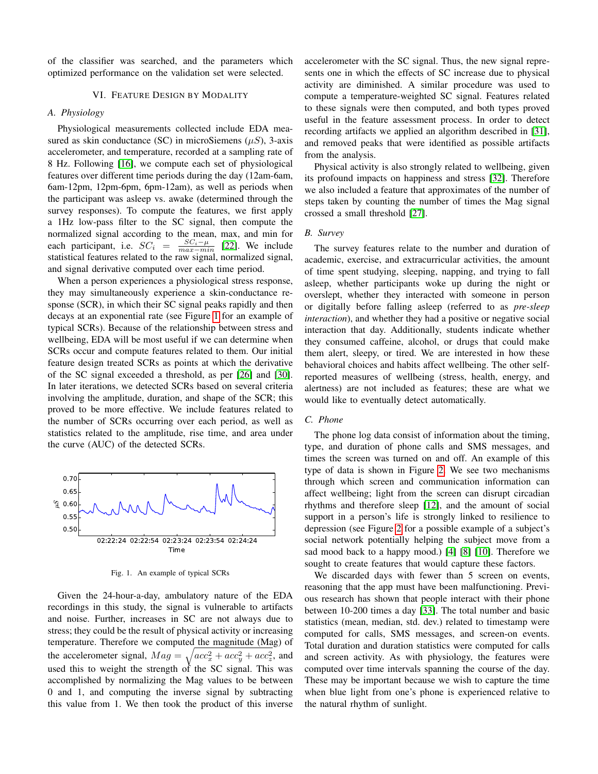of the classifier was searched, and the parameters which optimized performance on the validation set were selected.

# VI. FEATURE DESIGN BY MODALITY

## <span id="page-2-0"></span>*A. Physiology*

Physiological measurements collected include EDA measured as skin conductance (SC) in microSiemens  $(\mu S)$ , 3-axis accelerometer, and temperature, recorded at a sampling rate of 8 Hz. Following [\[16\]](#page-6-15), we compute each set of physiological features over different time periods during the day (12am-6am, 6am-12pm, 12pm-6pm, 6pm-12am), as well as periods when the participant was asleep vs. awake (determined through the survey responses). To compute the features, we first apply a 1Hz low-pass filter to the SC signal, then compute the normalized signal according to the mean, max, and min for each participant, i.e.  $SC_i = \frac{SC_i - \mu}{max - min}$  [\[22\]](#page-6-21). We include statistical features related to the raw signal, normalized signal, and signal derivative computed over each time period.

When a person experiences a physiological stress response, they may simultaneously experience a skin-conductance response (SCR), in which their SC signal peaks rapidly and then decays at an exponential rate (see Figure [1](#page-2-1) for an example of typical SCRs). Because of the relationship between stress and wellbeing, EDA will be most useful if we can determine when SCRs occur and compute features related to them. Our initial feature design treated SCRs as points at which the derivative of the SC signal exceeded a threshold, as per [\[26\]](#page-6-25) and [\[30\]](#page-6-29). In later iterations, we detected SCRs based on several criteria involving the amplitude, duration, and shape of the SCR; this proved to be more effective. We include features related to the number of SCRs occurring over each period, as well as statistics related to the amplitude, rise time, and area under the curve (AUC) of the detected SCRs.



<span id="page-2-1"></span>Fig. 1. An example of typical SCRs

Given the 24-hour-a-day, ambulatory nature of the EDA recordings in this study, the signal is vulnerable to artifacts and noise. Further, increases in SC are not always due to stress; they could be the result of physical activity or increasing temperature. Therefore we computed the magnitude (Mag) of the accelerometer signal,  $Mag = \sqrt{acc_x^2 + acc_y^2 + acc_z^2}$ , and used this to weight the strength of the SC signal. This was accomplished by normalizing the Mag values to be between 0 and 1, and computing the inverse signal by subtracting this value from 1. We then took the product of this inverse accelerometer with the SC signal. Thus, the new signal represents one in which the effects of SC increase due to physical activity are diminished. A similar procedure was used to compute a temperature-weighted SC signal. Features related to these signals were then computed, and both types proved useful in the feature assessment process. In order to detect recording artifacts we applied an algorithm described in [\[31\]](#page-6-30), and removed peaks that were identified as possible artifacts from the analysis.

Physical activity is also strongly related to wellbeing, given its profound impacts on happiness and stress [\[32\]](#page-6-31). Therefore we also included a feature that approximates of the number of steps taken by counting the number of times the Mag signal crossed a small threshold [\[27\]](#page-6-26).

### *B. Survey*

The survey features relate to the number and duration of academic, exercise, and extracurricular activities, the amount of time spent studying, sleeping, napping, and trying to fall asleep, whether participants woke up during the night or overslept, whether they interacted with someone in person or digitally before falling asleep (referred to as *pre-sleep interaction*), and whether they had a positive or negative social interaction that day. Additionally, students indicate whether they consumed caffeine, alcohol, or drugs that could make them alert, sleepy, or tired. We are interested in how these behavioral choices and habits affect wellbeing. The other selfreported measures of wellbeing (stress, health, energy, and alertness) are not included as features; these are what we would like to eventually detect automatically.

# *C. Phone*

The phone log data consist of information about the timing, type, and duration of phone calls and SMS messages, and times the screen was turned on and off. An example of this type of data is shown in Figure [2.](#page-3-0) We see two mechanisms through which screen and communication information can affect wellbeing; light from the screen can disrupt circadian rhythms and therefore sleep [\[12\]](#page-6-11), and the amount of social support in a person's life is strongly linked to resilience to depression (see Figure [2](#page-3-0) for a possible example of a subject's social network potentially helping the subject move from a sad mood back to a happy mood.) [\[4\]](#page-6-3) [\[8\]](#page-6-7) [\[10\]](#page-6-9). Therefore we sought to create features that would capture these factors.

We discarded days with fewer than 5 screen on events, reasoning that the app must have been malfunctioning. Previous research has shown that people interact with their phone between 10-200 times a day [\[33\]](#page-6-32). The total number and basic statistics (mean, median, std. dev.) related to timestamp were computed for calls, SMS messages, and screen-on events. Total duration and duration statistics were computed for calls and screen activity. As with physiology, the features were computed over time intervals spanning the course of the day. These may be important because we wish to capture the time when blue light from one's phone is experienced relative to the natural rhythm of sunlight.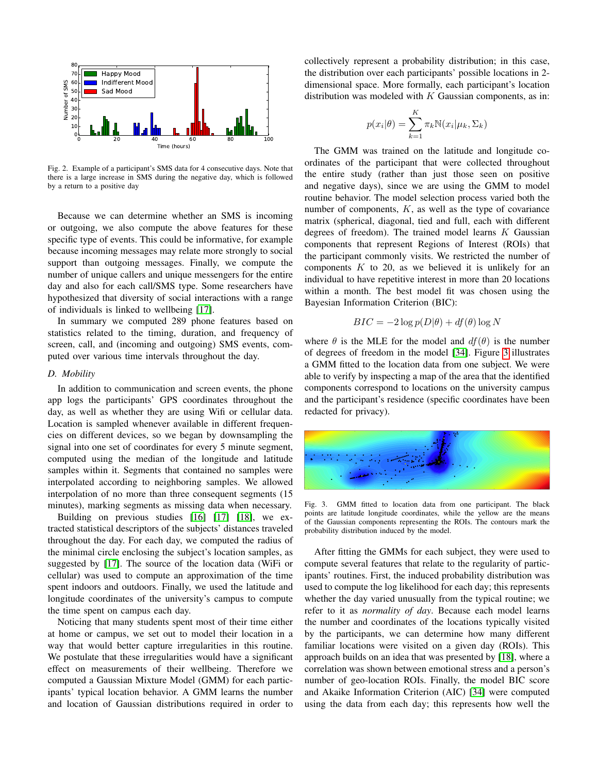

<span id="page-3-0"></span>Fig. 2. Example of a participant's SMS data for 4 consecutive days. Note that there is a large increase in SMS during the negative day, which is followed by a return to a positive day

Because we can determine whether an SMS is incoming or outgoing, we also compute the above features for these specific type of events. This could be informative, for example because incoming messages may relate more strongly to social support than outgoing messages. Finally, we compute the number of unique callers and unique messengers for the entire day and also for each call/SMS type. Some researchers have hypothesized that diversity of social interactions with a range of individuals is linked to wellbeing [\[17\]](#page-6-16).

In summary we computed 289 phone features based on statistics related to the timing, duration, and frequency of screen, call, and (incoming and outgoing) SMS events, computed over various time intervals throughout the day.

## *D. Mobility*

In addition to communication and screen events, the phone app logs the participants' GPS coordinates throughout the day, as well as whether they are using Wifi or cellular data. Location is sampled whenever available in different frequencies on different devices, so we began by downsampling the signal into one set of coordinates for every 5 minute segment, computed using the median of the longitude and latitude samples within it. Segments that contained no samples were interpolated according to neighboring samples. We allowed interpolation of no more than three consequent segments (15 minutes), marking segments as missing data when necessary.

Building on previous studies [\[16\]](#page-6-15) [\[17\]](#page-6-16) [\[18\]](#page-6-17), we extracted statistical descriptors of the subjects' distances traveled throughout the day. For each day, we computed the radius of the minimal circle enclosing the subject's location samples, as suggested by [\[17\]](#page-6-16). The source of the location data (WiFi or cellular) was used to compute an approximation of the time spent indoors and outdoors. Finally, we used the latitude and longitude coordinates of the university's campus to compute the time spent on campus each day.

Noticing that many students spent most of their time either at home or campus, we set out to model their location in a way that would better capture irregularities in this routine. We postulate that these irregularities would have a significant effect on measurements of their wellbeing. Therefore we computed a Gaussian Mixture Model (GMM) for each participants' typical location behavior. A GMM learns the number and location of Gaussian distributions required in order to

collectively represent a probability distribution; in this case, the distribution over each participants' possible locations in 2 dimensional space. More formally, each participant's location distribution was modeled with  $K$  Gaussian components, as in:

$$
p(x_i|\theta) = \sum_{k=1}^{K} \pi_k \mathbb{N}(x_i|\mu_k, \Sigma_k)
$$

The GMM was trained on the latitude and longitude coordinates of the participant that were collected throughout the entire study (rather than just those seen on positive and negative days), since we are using the GMM to model routine behavior. The model selection process varied both the number of components,  $K$ , as well as the type of covariance matrix (spherical, diagonal, tied and full, each with different degrees of freedom). The trained model learns  $K$  Gaussian components that represent Regions of Interest (ROIs) that the participant commonly visits. We restricted the number of components  $K$  to 20, as we believed it is unlikely for an individual to have repetitive interest in more than 20 locations within a month. The best model fit was chosen using the Bayesian Information Criterion (BIC):

$$
BIC = -2\log p(D|\theta) + df(\theta)\log N
$$

where  $\theta$  is the MLE for the model and  $df(\theta)$  is the number of degrees of freedom in the model [\[34\]](#page-6-33). Figure [3](#page-3-1) illustrates a GMM fitted to the location data from one subject. We were able to verify by inspecting a map of the area that the identified components correspond to locations on the university campus and the participant's residence (specific coordinates have been redacted for privacy).



<span id="page-3-1"></span>Fig. 3. GMM fitted to location data from one participant. The black points are latitude longitude coordinates, while the yellow are the means of the Gaussian components representing the ROIs. The contours mark the probability distribution induced by the model.

After fitting the GMMs for each subject, they were used to compute several features that relate to the regularity of participants' routines. First, the induced probability distribution was used to compute the log likelihood for each day; this represents whether the day varied unusually from the typical routine; we refer to it as *normality of day*. Because each model learns the number and coordinates of the locations typically visited by the participants, we can determine how many different familiar locations were visited on a given day (ROIs). This approach builds on an idea that was presented by [\[18\]](#page-6-17), where a correlation was shown between emotional stress and a person's number of geo-location ROIs. Finally, the model BIC score and Akaike Information Criterion (AIC) [\[34\]](#page-6-33) were computed using the data from each day; this represents how well the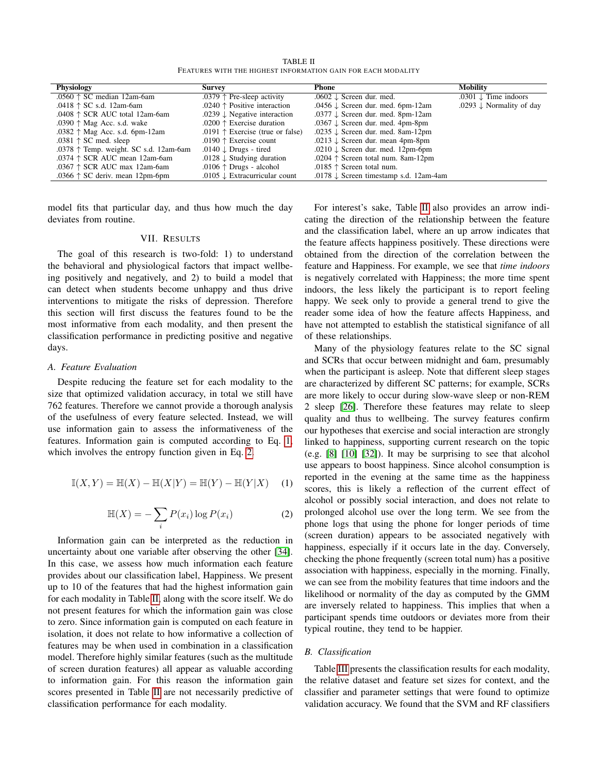TABLE II FEATURES WITH THE HIGHEST INFORMATION GAIN FOR EACH MODALITY

<span id="page-4-2"></span>

| Physiology                                      | <b>Survey</b>                             | Phone                                             | <b>Mobility</b>                     |
|-------------------------------------------------|-------------------------------------------|---------------------------------------------------|-------------------------------------|
| .0560 $\uparrow$ SC median 12am-6am             | .0379 $\uparrow$ Pre-sleep activity       | .0602 $\downarrow$ Screen dur. med.               | .0301 $\downarrow$ Time indoors     |
| .0418 $\uparrow$ SC s.d. 12am-6am               | .0240 $\uparrow$ Positive interaction     | .0456 $\downarrow$ Screen dur. med. 6pm-12am      | .0293 $\downarrow$ Normality of day |
| .0408 $\uparrow$ SCR AUC total 12am-6am         | .0239 $\downarrow$ Negative interaction   | .0377 $\downarrow$ Screen dur. med. 8pm-12am      |                                     |
| .0390 $\uparrow$ Mag Acc. s.d. wake             | .0200 $\uparrow$ Exercise duration        | .0367 $\downarrow$ Screen dur. med. 4pm-8pm       |                                     |
| .0382 $\uparrow$ Mag Acc. s.d. 6pm-12am         | .0191 $\uparrow$ Exercise (true or false) | .0235 $\downarrow$ Screen dur. med. 8am-12pm      |                                     |
| .0381 $\uparrow$ SC med. sleep                  | .0190 $\uparrow$ Exercise count           | .0213 $\downarrow$ Screen dur. mean 4pm-8pm       |                                     |
| .0378 $\uparrow$ Temp. weight. SC s.d. 12am-6am | .0140 $\downarrow$ Drugs - tired          | .0210 $\downarrow$ Screen dur. med. 12pm-6pm      |                                     |
| .0374 $\uparrow$ SCR AUC mean 12am-6am          | .0128 $\downarrow$ Studying duration      | .0204 $\uparrow$ Screen total num. 8am-12pm       |                                     |
| .0367 $\uparrow$ SCR AUC max 12am-6am           | .0106 $\uparrow$ Drugs - alcohol          | .0185 $\uparrow$ Screen total num.                |                                     |
| .0366 $\uparrow$ SC deriv. mean 12pm-6pm        | .0105 $\downarrow$ Extracurricular count  | .0178 $\downarrow$ Screen timestamp s.d. 12am-4am |                                     |

model fits that particular day, and thus how much the day deviates from routine.

## VII. RESULTS

The goal of this research is two-fold: 1) to understand the behavioral and physiological factors that impact wellbeing positively and negatively, and 2) to build a model that can detect when students become unhappy and thus drive interventions to mitigate the risks of depression. Therefore this section will first discuss the features found to be the most informative from each modality, and then present the classification performance in predicting positive and negative days.

## *A. Feature Evaluation*

Despite reducing the feature set for each modality to the size that optimized validation accuracy, in total we still have 762 features. Therefore we cannot provide a thorough analysis of the usefulness of every feature selected. Instead, we will use information gain to assess the informativeness of the features. Information gain is computed according to Eq. [1,](#page-4-0) which involves the entropy function given in Eq. [2.](#page-4-1)

<span id="page-4-1"></span><span id="page-4-0"></span>
$$
\mathbb{I}(X,Y) = \mathbb{H}(X) - \mathbb{H}(X|Y) = \mathbb{H}(Y) - \mathbb{H}(Y|X)
$$
 (1)

$$
\mathbb{H}(X) = -\sum_{i} P(x_i) \log P(x_i)
$$
 (2)

Information gain can be interpreted as the reduction in uncertainty about one variable after observing the other [\[34\]](#page-6-33). In this case, we assess how much information each feature provides about our classification label, Happiness. We present up to 10 of the features that had the highest information gain for each modality in Table [II,](#page-4-2) along with the score itself. We do not present features for which the information gain was close to zero. Since information gain is computed on each feature in isolation, it does not relate to how informative a collection of features may be when used in combination in a classification model. Therefore highly similar features (such as the multitude of screen duration features) all appear as valuable according to information gain. For this reason the information gain scores presented in Table [II](#page-4-2) are not necessarily predictive of classification performance for each modality.

For interest's sake, Table [II](#page-4-2) also provides an arrow indicating the direction of the relationship between the feature and the classification label, where an up arrow indicates that the feature affects happiness positively. These directions were obtained from the direction of the correlation between the feature and Happiness. For example, we see that *time indoors* is negatively correlated with Happiness; the more time spent indoors, the less likely the participant is to report feeling happy. We seek only to provide a general trend to give the reader some idea of how the feature affects Happiness, and have not attempted to establish the statistical signifance of all of these relationships.

Many of the physiology features relate to the SC signal and SCRs that occur between midnight and 6am, presumably when the participant is asleep. Note that different sleep stages are characterized by different SC patterns; for example, SCRs are more likely to occur during slow-wave sleep or non-REM 2 sleep [\[26\]](#page-6-25). Therefore these features may relate to sleep quality and thus to wellbeing. The survey features confirm our hypotheses that exercise and social interaction are strongly linked to happiness, supporting current research on the topic (e.g. [\[8\]](#page-6-7) [\[10\]](#page-6-9) [\[32\]](#page-6-31)). It may be surprising to see that alcohol use appears to boost happiness. Since alcohol consumption is reported in the evening at the same time as the happiness scores, this is likely a reflection of the current effect of alcohol or possibly social interaction, and does not relate to prolonged alcohol use over the long term. We see from the phone logs that using the phone for longer periods of time (screen duration) appears to be associated negatively with happiness, especially if it occurs late in the day. Conversely, checking the phone frequently (screen total num) has a positive association with happiness, especially in the morning. Finally, we can see from the mobility features that time indoors and the likelihood or normality of the day as computed by the GMM are inversely related to happiness. This implies that when a participant spends time outdoors or deviates more from their typical routine, they tend to be happier.

## *B. Classification*

Table [III](#page-5-0) presents the classification results for each modality, the relative dataset and feature set sizes for context, and the classifier and parameter settings that were found to optimize validation accuracy. We found that the SVM and RF classifiers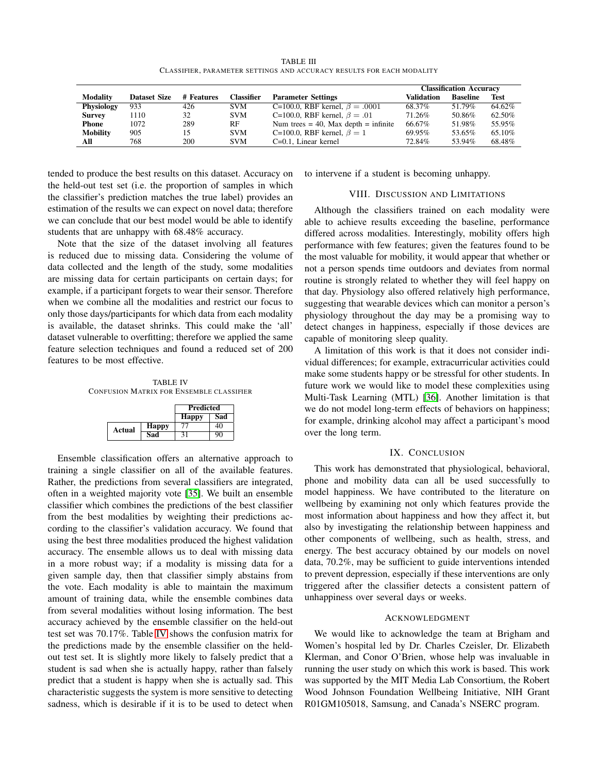TABLE III CLASSIFIER, PARAMETER SETTINGS AND ACCURACY RESULTS FOR EACH MODALITY

<span id="page-5-0"></span>

|                 |                     |            |                   |                                           | <b>Classification Accuracy</b> |                 |             |
|-----------------|---------------------|------------|-------------------|-------------------------------------------|--------------------------------|-----------------|-------------|
| <b>Modality</b> | <b>Dataset Size</b> | # Features | <b>Classifier</b> | <b>Parameter Settings</b>                 | Validation                     | <b>Baseline</b> | <b>Test</b> |
| Physiology      | 933                 | 426        | <b>SVM</b>        | C=100.0, RBF kernel, $\beta = .0001$      | 68.37%                         | 51.79%          | 64.62%      |
| <b>Survey</b>   | 1110                | 32         | <b>SVM</b>        | C=100.0, RBF kernel, $\beta = .01$        | 71.26%                         | 50.86%          | 62.50%      |
| Phone           | 1072                | 289        | RF                | Num trees $= 40$ , Max depth $=$ infinite | 66.67%                         | 51.98%          | 55.95%      |
| <b>Mobility</b> | 905                 | 15         | <b>SVM</b>        | C=100.0, RBF kernel, $\beta = 1$          | 69.95%                         | 53.65%          | 65.10%      |
| All             | 768                 | 200        | <b>SVM</b>        | $C=0.1$ , Linear kernel                   | 72.84%                         | 53.94%          | 68.48%      |

tended to produce the best results on this dataset. Accuracy on the held-out test set (i.e. the proportion of samples in which the classifier's prediction matches the true label) provides an estimation of the results we can expect on novel data; therefore we can conclude that our best model would be able to identify students that are unhappy with 68.48% accuracy.

Note that the size of the dataset involving all features is reduced due to missing data. Considering the volume of data collected and the length of the study, some modalities are missing data for certain participants on certain days; for example, if a participant forgets to wear their sensor. Therefore when we combine all the modalities and restrict our focus to only those days/participants for which data from each modality is available, the dataset shrinks. This could make the 'all' dataset vulnerable to overfitting; therefore we applied the same feature selection techniques and found a reduced set of 200 features to be most effective.

<span id="page-5-1"></span>TABLE IV CONFUSION MATRIX FOR ENSEMBLE CLASSIFIER

|        |              | <b>Predicted</b> |     |
|--------|--------------|------------------|-----|
|        |              | <b>Happy</b>     | Sad |
| Actual | <b>Happy</b> |                  |     |
|        | Sad          | 21               |     |

Ensemble classification offers an alternative approach to training a single classifier on all of the available features. Rather, the predictions from several classifiers are integrated, often in a weighted majority vote [\[35\]](#page-6-34). We built an ensemble classifier which combines the predictions of the best classifier from the best modalities by weighting their predictions according to the classifier's validation accuracy. We found that using the best three modalities produced the highest validation accuracy. The ensemble allows us to deal with missing data in a more robust way; if a modality is missing data for a given sample day, then that classifier simply abstains from the vote. Each modality is able to maintain the maximum amount of training data, while the ensemble combines data from several modalities without losing information. The best accuracy achieved by the ensemble classifier on the held-out test set was 70.17%. Table [IV](#page-5-1) shows the confusion matrix for the predictions made by the ensemble classifier on the heldout test set. It is slightly more likely to falsely predict that a student is sad when she is actually happy, rather than falsely predict that a student is happy when she is actually sad. This characteristic suggests the system is more sensitive to detecting sadness, which is desirable if it is to be used to detect when

to intervene if a student is becoming unhappy.

## VIII. DISCUSSION AND LIMITATIONS

Although the classifiers trained on each modality were able to achieve results exceeding the baseline, performance differed across modalities. Interestingly, mobility offers high performance with few features; given the features found to be the most valuable for mobility, it would appear that whether or not a person spends time outdoors and deviates from normal routine is strongly related to whether they will feel happy on that day. Physiology also offered relatively high performance, suggesting that wearable devices which can monitor a person's physiology throughout the day may be a promising way to detect changes in happiness, especially if those devices are capable of monitoring sleep quality.

A limitation of this work is that it does not consider individual differences; for example, extracurricular activities could make some students happy or be stressful for other students. In future work we would like to model these complexities using Multi-Task Learning (MTL) [\[36\]](#page-6-35). Another limitation is that we do not model long-term effects of behaviors on happiness; for example, drinking alcohol may affect a participant's mood over the long term.

# IX. CONCLUSION

This work has demonstrated that physiological, behavioral, phone and mobility data can all be used successfully to model happiness. We have contributed to the literature on wellbeing by examining not only which features provide the most information about happiness and how they affect it, but also by investigating the relationship between happiness and other components of wellbeing, such as health, stress, and energy. The best accuracy obtained by our models on novel data, 70.2%, may be sufficient to guide interventions intended to prevent depression, especially if these interventions are only triggered after the classifier detects a consistent pattern of unhappiness over several days or weeks.

### ACKNOWLEDGMENT

We would like to acknowledge the team at Brigham and Women's hospital led by Dr. Charles Czeisler, Dr. Elizabeth Klerman, and Conor O'Brien, whose help was invaluable in running the user study on which this work is based. This work was supported by the MIT Media Lab Consortium, the Robert Wood Johnson Foundation Wellbeing Initiative, NIH Grant R01GM105018, Samsung, and Canada's NSERC program.